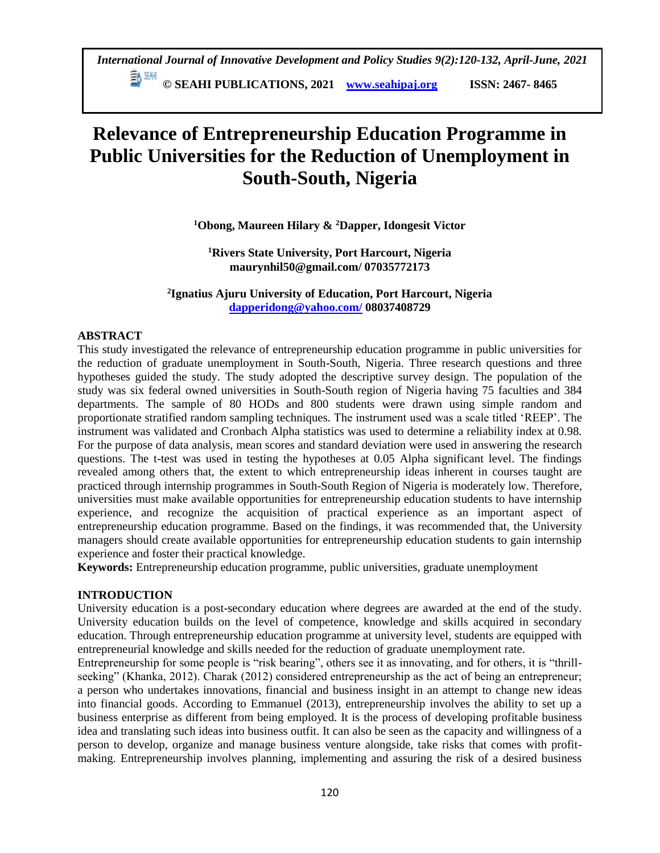**© SEAHI PUBLICATIONS, 2021 [www.seahipaj.org](http://www.seahipaj.org/) ISSN: 2467- 8465**

# **Relevance of Entrepreneurship Education Programme in Public Universities for the Reduction of Unemployment in South-South, Nigeria**

# **<sup>1</sup>Obong, Maureen Hilary & <sup>2</sup>Dapper, Idongesit Victor**

**<sup>1</sup>Rivers State University, Port Harcourt, Nigeria maurynhil50@gmail.com/ 07035772173**

**2 Ignatius Ajuru University of Education, Port Harcourt, Nigeria [dapperidong@yahoo.com/](mailto:dapperidong@yahoo.com/) 08037408729**

## **ABSTRACT**

This study investigated the relevance of entrepreneurship education programme in public universities for the reduction of graduate unemployment in South-South, Nigeria. Three research questions and three hypotheses guided the study. The study adopted the descriptive survey design. The population of the study was six federal owned universities in South-South region of Nigeria having 75 faculties and 384 departments. The sample of 80 HODs and 800 students were drawn using simple random and proportionate stratified random sampling techniques. The instrument used was a scale titled 'REEP'. The instrument was validated and Cronbach Alpha statistics was used to determine a reliability index at 0.98. For the purpose of data analysis, mean scores and standard deviation were used in answering the research questions. The t-test was used in testing the hypotheses at 0.05 Alpha significant level. The findings revealed among others that, the extent to which entrepreneurship ideas inherent in courses taught are practiced through internship programmes in South-South Region of Nigeria is moderately low. Therefore, universities must make available opportunities for entrepreneurship education students to have internship experience, and recognize the acquisition of practical experience as an important aspect of entrepreneurship education programme. Based on the findings, it was recommended that, the University managers should create available opportunities for entrepreneurship education students to gain internship experience and foster their practical knowledge.

**Keywords:** Entrepreneurship education programme, public universities, graduate unemployment

## **INTRODUCTION**

University education is a post-secondary education where degrees are awarded at the end of the study. University education builds on the level of competence, knowledge and skills acquired in secondary education. Through entrepreneurship education programme at university level, students are equipped with entrepreneurial knowledge and skills needed for the reduction of graduate unemployment rate.

Entrepreneurship for some people is "risk bearing", others see it as innovating, and for others, it is "thrillseeking" (Khanka, 2012). Charak (2012) considered entrepreneurship as the act of being an entrepreneur; a person who undertakes innovations, financial and business insight in an attempt to change new ideas into financial goods. According to Emmanuel (2013), entrepreneurship involves the ability to set up a business enterprise as different from being employed. It is the process of developing profitable business idea and translating such ideas into business outfit. It can also be seen as the capacity and willingness of a person to develop, organize and manage business venture alongside, take risks that comes with profitmaking. Entrepreneurship involves planning, implementing and assuring the risk of a desired business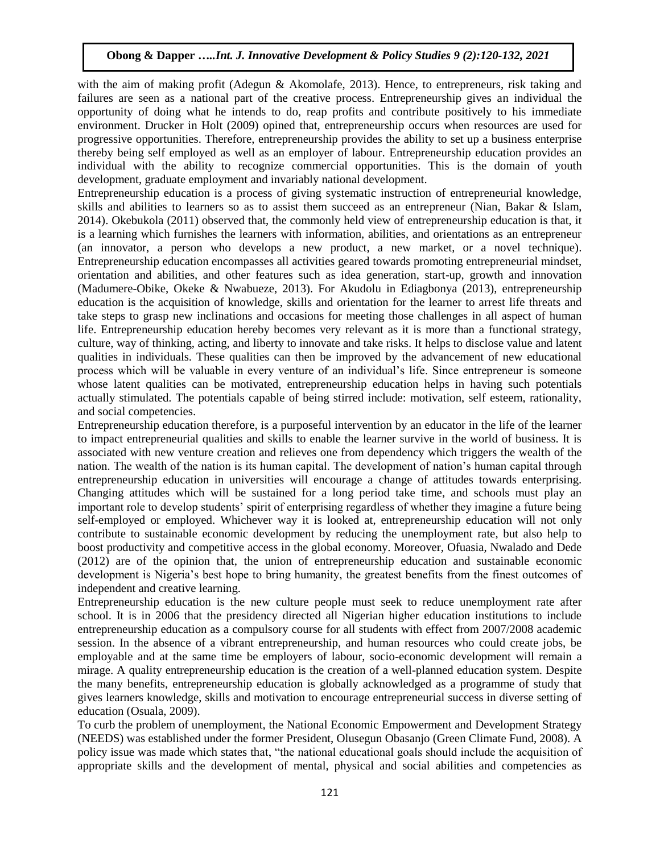with the aim of making profit (Adegun & Akomolafe, 2013). Hence, to entrepreneurs, risk taking and failures are seen as a national part of the creative process. Entrepreneurship gives an individual the opportunity of doing what he intends to do, reap profits and contribute positively to his immediate environment. Drucker in Holt (2009) opined that, entrepreneurship occurs when resources are used for progressive opportunities. Therefore, entrepreneurship provides the ability to set up a business enterprise thereby being self employed as well as an employer of labour. Entrepreneurship education provides an individual with the ability to recognize commercial opportunities. This is the domain of youth development, graduate employment and invariably national development.

Entrepreneurship education is a process of giving systematic instruction of entrepreneurial knowledge, skills and abilities to learners so as to assist them succeed as an entrepreneur (Nian, Bakar & Islam, 2014). Okebukola (2011) observed that, the commonly held view of entrepreneurship education is that, it is a learning which furnishes the learners with information, abilities, and orientations as an entrepreneur (an innovator, a person who develops a new product, a new market, or a novel technique). Entrepreneurship education encompasses all activities geared towards promoting entrepreneurial mindset, orientation and abilities, and other features such as idea generation, start-up, growth and innovation (Madumere-Obike, Okeke & Nwabueze, 2013). For Akudolu in Ediagbonya (2013), entrepreneurship education is the acquisition of knowledge, skills and orientation for the learner to arrest life threats and take steps to grasp new inclinations and occasions for meeting those challenges in all aspect of human life. Entrepreneurship education hereby becomes very relevant as it is more than a functional strategy, culture, way of thinking, acting, and liberty to innovate and take risks. It helps to disclose value and latent qualities in individuals. These qualities can then be improved by the advancement of new educational process which will be valuable in every venture of an individual's life. Since entrepreneur is someone whose latent qualities can be motivated, entrepreneurship education helps in having such potentials actually stimulated. The potentials capable of being stirred include: motivation, self esteem, rationality, and social competencies.

Entrepreneurship education therefore, is a purposeful intervention by an educator in the life of the learner to impact entrepreneurial qualities and skills to enable the learner survive in the world of business. It is associated with new venture creation and relieves one from dependency which triggers the wealth of the nation. The wealth of the nation is its human capital. The development of nation's human capital through entrepreneurship education in universities will encourage a change of attitudes towards enterprising. Changing attitudes which will be sustained for a long period take time, and schools must play an important role to develop students' spirit of enterprising regardless of whether they imagine a future being self-employed or employed. Whichever way it is looked at, entrepreneurship education will not only contribute to sustainable economic development by reducing the unemployment rate, but also help to boost productivity and competitive access in the global economy. Moreover, Ofuasia, Nwalado and Dede (2012) are of the opinion that, the union of entrepreneurship education and sustainable economic development is Nigeria's best hope to bring humanity, the greatest benefits from the finest outcomes of independent and creative learning.

Entrepreneurship education is the new culture people must seek to reduce unemployment rate after school. It is in 2006 that the presidency directed all Nigerian higher education institutions to include entrepreneurship education as a compulsory course for all students with effect from 2007/2008 academic session. In the absence of a vibrant entrepreneurship, and human resources who could create jobs, be employable and at the same time be employers of labour, socio-economic development will remain a mirage. A quality entrepreneurship education is the creation of a well-planned education system. Despite the many benefits, entrepreneurship education is globally acknowledged as a programme of study that gives learners knowledge, skills and motivation to encourage entrepreneurial success in diverse setting of education (Osuala, 2009).

To curb the problem of unemployment, the National Economic Empowerment and Development Strategy (NEEDS) was established under the former President, Olusegun Obasanjo (Green Climate Fund, 2008). A policy issue was made which states that, "the national educational goals should include the acquisition of appropriate skills and the development of mental, physical and social abilities and competencies as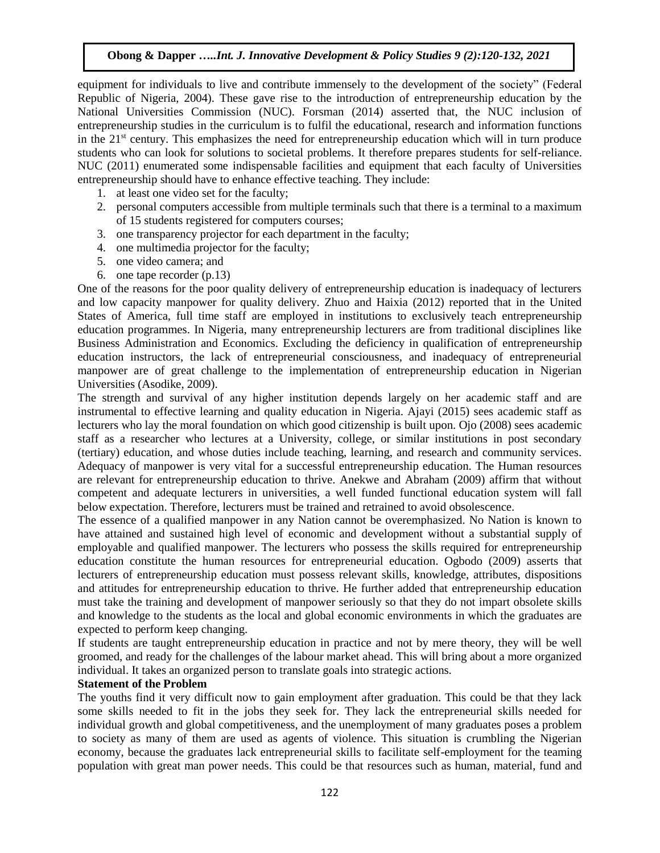equipment for individuals to live and contribute immensely to the development of the society" (Federal Republic of Nigeria, 2004). These gave rise to the introduction of entrepreneurship education by the National Universities Commission (NUC). Forsman (2014) asserted that, the NUC inclusion of entrepreneurship studies in the curriculum is to fulfil the educational, research and information functions in the  $21<sup>st</sup>$  century. This emphasizes the need for entrepreneurship education which will in turn produce students who can look for solutions to societal problems. It therefore prepares students for self-reliance. NUC (2011) enumerated some indispensable facilities and equipment that each faculty of Universities entrepreneurship should have to enhance effective teaching. They include:

- 1. at least one video set for the faculty;
- 2. personal computers accessible from multiple terminals such that there is a terminal to a maximum of 15 students registered for computers courses;
- 3. one transparency projector for each department in the faculty;
- 4. one multimedia projector for the faculty;
- 5. one video camera; and
- 6. one tape recorder (p.13)

One of the reasons for the poor quality delivery of entrepreneurship education is inadequacy of lecturers and low capacity manpower for quality delivery. Zhuo and Haixia (2012) reported that in the United States of America, full time staff are employed in institutions to exclusively teach entrepreneurship education programmes. In Nigeria, many entrepreneurship lecturers are from traditional disciplines like Business Administration and Economics. Excluding the deficiency in qualification of entrepreneurship education instructors, the lack of entrepreneurial consciousness, and inadequacy of entrepreneurial manpower are of great challenge to the implementation of entrepreneurship education in Nigerian Universities (Asodike, 2009).

The strength and survival of any higher institution depends largely on her academic staff and are instrumental to effective learning and quality education in Nigeria. Ajayi (2015) sees academic staff as lecturers who lay the moral foundation on which good citizenship is built upon. Ojo (2008) sees academic staff as a researcher who lectures at a University, college, or similar institutions in post secondary (tertiary) education, and whose duties include teaching, learning, and research and community services. Adequacy of manpower is very vital for a successful entrepreneurship education. The Human resources are relevant for entrepreneurship education to thrive. Anekwe and Abraham (2009) affirm that without competent and adequate lecturers in universities, a well funded functional education system will fall below expectation. Therefore, lecturers must be trained and retrained to avoid obsolescence.

The essence of a qualified manpower in any Nation cannot be overemphasized. No Nation is known to have attained and sustained high level of economic and development without a substantial supply of employable and qualified manpower. The lecturers who possess the skills required for entrepreneurship education constitute the human resources for entrepreneurial education. Ogbodo (2009) asserts that lecturers of entrepreneurship education must possess relevant skills, knowledge, attributes, dispositions and attitudes for entrepreneurship education to thrive. He further added that entrepreneurship education must take the training and development of manpower seriously so that they do not impart obsolete skills and knowledge to the students as the local and global economic environments in which the graduates are expected to perform keep changing.

If students are taught entrepreneurship education in practice and not by mere theory, they will be well groomed, and ready for the challenges of the labour market ahead. This will bring about a more organized individual. It takes an organized person to translate goals into strategic actions.

#### **Statement of the Problem**

The youths find it very difficult now to gain employment after graduation. This could be that they lack some skills needed to fit in the jobs they seek for. They lack the entrepreneurial skills needed for individual growth and global competitiveness, and the unemployment of many graduates poses a problem to society as many of them are used as agents of violence. This situation is crumbling the Nigerian economy, because the graduates lack entrepreneurial skills to facilitate self-employment for the teaming population with great man power needs. This could be that resources such as human, material, fund and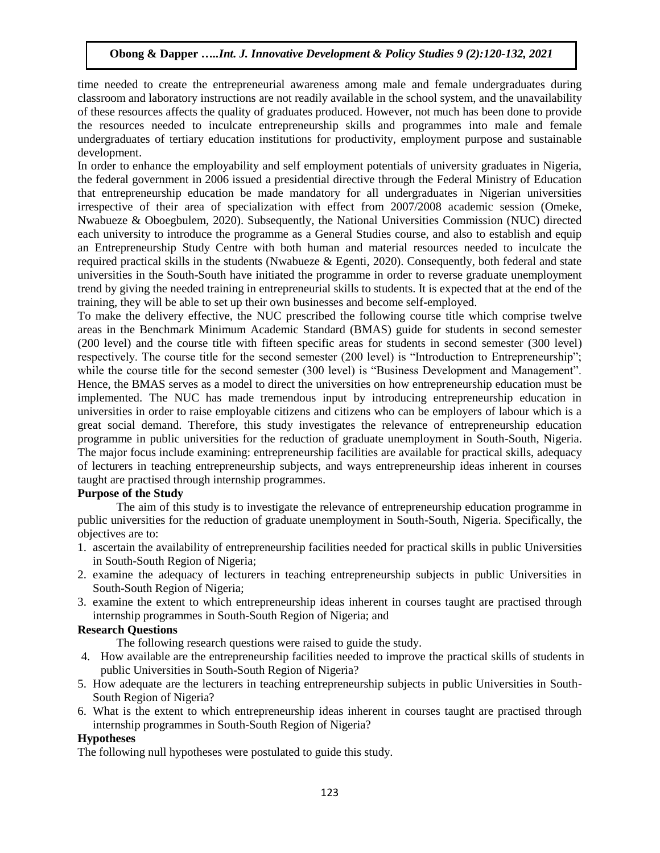time needed to create the entrepreneurial awareness among male and female undergraduates during classroom and laboratory instructions are not readily available in the school system, and the unavailability of these resources affects the quality of graduates produced. However, not much has been done to provide the resources needed to inculcate entrepreneurship skills and programmes into male and female undergraduates of tertiary education institutions for productivity, employment purpose and sustainable development.

In order to enhance the employability and self employment potentials of university graduates in Nigeria, the federal government in 2006 issued a presidential directive through the Federal Ministry of Education that entrepreneurship education be made mandatory for all undergraduates in Nigerian universities irrespective of their area of specialization with effect from 2007/2008 academic session (Omeke, Nwabueze & Oboegbulem, 2020). Subsequently, the National Universities Commission (NUC) directed each university to introduce the programme as a General Studies course, and also to establish and equip an Entrepreneurship Study Centre with both human and material resources needed to inculcate the required practical skills in the students (Nwabueze & Egenti, 2020). Consequently, both federal and state universities in the South-South have initiated the programme in order to reverse graduate unemployment trend by giving the needed training in entrepreneurial skills to students. It is expected that at the end of the training, they will be able to set up their own businesses and become self-employed.

To make the delivery effective, the NUC prescribed the following course title which comprise twelve areas in the Benchmark Minimum Academic Standard (BMAS) guide for students in second semester (200 level) and the course title with fifteen specific areas for students in second semester (300 level) respectively. The course title for the second semester (200 level) is "Introduction to Entrepreneurship"; while the course title for the second semester (300 level) is "Business Development and Management". Hence, the BMAS serves as a model to direct the universities on how entrepreneurship education must be implemented. The NUC has made tremendous input by introducing entrepreneurship education in universities in order to raise employable citizens and citizens who can be employers of labour which is a great social demand. Therefore, this study investigates the relevance of entrepreneurship education programme in public universities for the reduction of graduate unemployment in South-South, Nigeria. The major focus include examining: entrepreneurship facilities are available for practical skills, adequacy of lecturers in teaching entrepreneurship subjects, and ways entrepreneurship ideas inherent in courses taught are practised through internship programmes.

## **Purpose of the Study**

The aim of this study is to investigate the relevance of entrepreneurship education programme in public universities for the reduction of graduate unemployment in South-South, Nigeria. Specifically, the objectives are to:

- 1. ascertain the availability of entrepreneurship facilities needed for practical skills in public Universities in South-South Region of Nigeria;
- 2. examine the adequacy of lecturers in teaching entrepreneurship subjects in public Universities in South-South Region of Nigeria;
- 3. examine the extent to which entrepreneurship ideas inherent in courses taught are practised through internship programmes in South-South Region of Nigeria; and

## **Research Questions**

The following research questions were raised to guide the study.

- 4. How available are the entrepreneurship facilities needed to improve the practical skills of students in public Universities in South-South Region of Nigeria?
- 5. How adequate are the lecturers in teaching entrepreneurship subjects in public Universities in South-South Region of Nigeria?
- 6. What is the extent to which entrepreneurship ideas inherent in courses taught are practised through internship programmes in South-South Region of Nigeria?

## **Hypotheses**

The following null hypotheses were postulated to guide this study.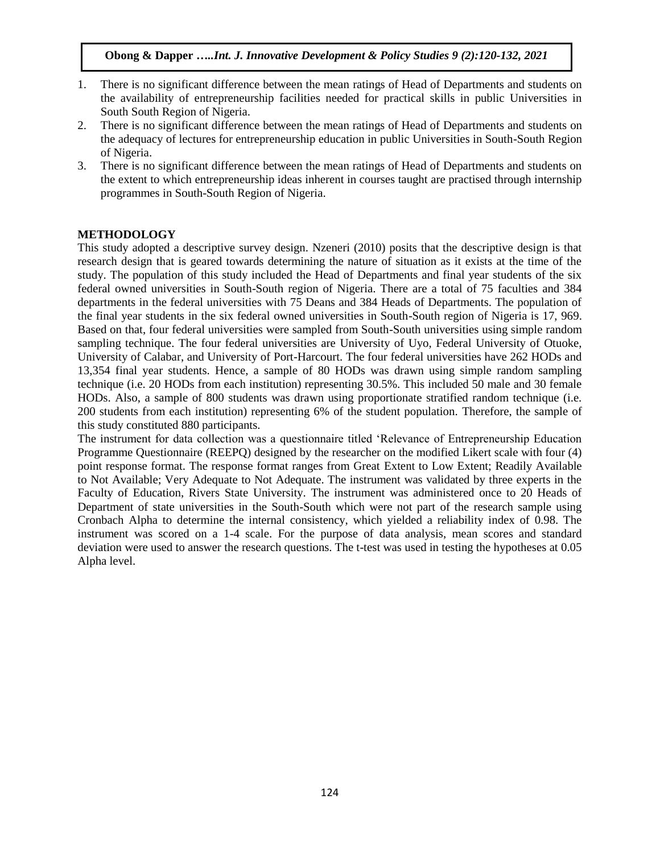- 1. There is no significant difference between the mean ratings of Head of Departments and students on the availability of entrepreneurship facilities needed for practical skills in public Universities in South South Region of Nigeria.
- 2. There is no significant difference between the mean ratings of Head of Departments and students on the adequacy of lectures for entrepreneurship education in public Universities in South-South Region of Nigeria.
- 3. There is no significant difference between the mean ratings of Head of Departments and students on the extent to which entrepreneurship ideas inherent in courses taught are practised through internship programmes in South-South Region of Nigeria.

## **METHODOLOGY**

This study adopted a descriptive survey design. Nzeneri (2010) posits that the descriptive design is that research design that is geared towards determining the nature of situation as it exists at the time of the study. The population of this study included the Head of Departments and final year students of the six federal owned universities in South-South region of Nigeria. There are a total of 75 faculties and 384 departments in the federal universities with 75 Deans and 384 Heads of Departments. The population of the final year students in the six federal owned universities in South-South region of Nigeria is 17, 969. Based on that, four federal universities were sampled from South-South universities using simple random sampling technique. The four federal universities are University of Uyo, Federal University of Otuoke, University of Calabar, and University of Port-Harcourt. The four federal universities have 262 HODs and 13,354 final year students. Hence, a sample of 80 HODs was drawn using simple random sampling technique (i.e. 20 HODs from each institution) representing 30.5%. This included 50 male and 30 female HODs. Also, a sample of 800 students was drawn using proportionate stratified random technique (i.e. 200 students from each institution) representing 6% of the student population. Therefore, the sample of this study constituted 880 participants.

The instrument for data collection was a questionnaire titled 'Relevance of Entrepreneurship Education Programme Questionnaire (REEPQ) designed by the researcher on the modified Likert scale with four (4) point response format. The response format ranges from Great Extent to Low Extent; Readily Available to Not Available; Very Adequate to Not Adequate. The instrument was validated by three experts in the Faculty of Education, Rivers State University. The instrument was administered once to 20 Heads of Department of state universities in the South-South which were not part of the research sample using Cronbach Alpha to determine the internal consistency, which yielded a reliability index of 0.98. The instrument was scored on a 1-4 scale. For the purpose of data analysis, mean scores and standard deviation were used to answer the research questions. The t-test was used in testing the hypotheses at 0.05 Alpha level.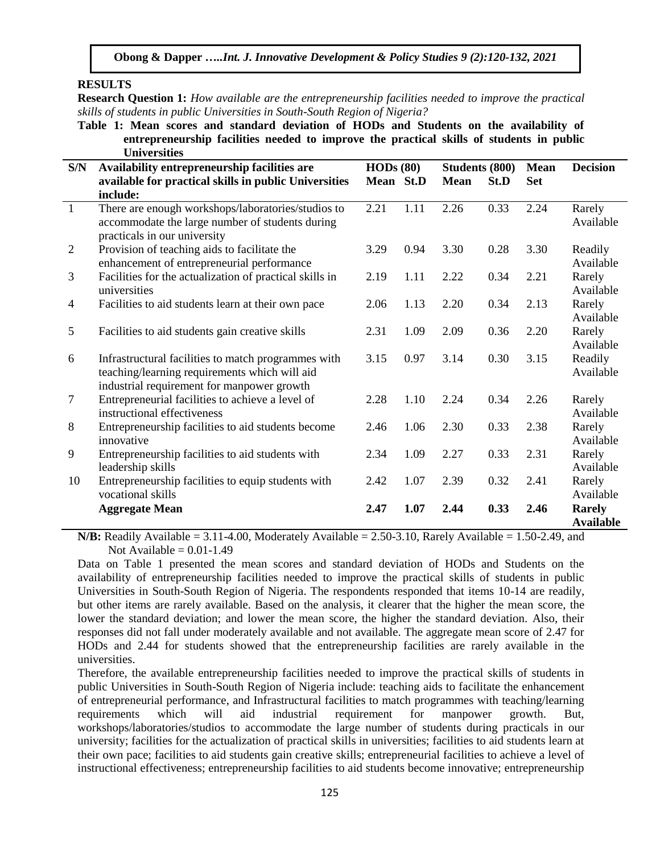**RESULTS**

**Research Question 1:** *How available are the entrepreneurship facilities needed to improve the practical skills of students in public Universities in South-South Region of Nigeria?*

**Table 1: Mean scores and standard deviation of HODs and Students on the availability of entrepreneurship facilities needed to improve the practical skills of students in public Universities**

| S/N            | Availability entrepreneurship facilities are                                                                                                       | HODs(80)    |      | <b>Students (800)</b> |      | <b>Mean</b> | <b>Decision</b>                   |
|----------------|----------------------------------------------------------------------------------------------------------------------------------------------------|-------------|------|-----------------------|------|-------------|-----------------------------------|
|                | available for practical skills in public Universities                                                                                              | <b>Mean</b> | St.D | <b>Mean</b>           | St.D | <b>Set</b>  |                                   |
|                | include:                                                                                                                                           |             |      |                       |      |             |                                   |
| $\overline{1}$ | There are enough workshops/laboratories/studios to<br>accommodate the large number of students during<br>practicals in our university              | 2.21        | 1.11 | 2.26                  | 0.33 | 2.24        | Rarely<br>Available               |
| 2              | Provision of teaching aids to facilitate the<br>enhancement of entrepreneurial performance                                                         | 3.29        | 0.94 | 3.30                  | 0.28 | 3.30        | Readily<br>Available              |
| 3              | Facilities for the actualization of practical skills in<br>universities                                                                            | 2.19        | 1.11 | 2.22                  | 0.34 | 2.21        | Rarely<br>Available               |
| $\overline{4}$ | Facilities to aid students learn at their own pace                                                                                                 | 2.06        | 1.13 | 2.20                  | 0.34 | 2.13        | Rarely<br>Available               |
| 5              | Facilities to aid students gain creative skills                                                                                                    | 2.31        | 1.09 | 2.09                  | 0.36 | 2.20        | Rarely<br>Available               |
| 6              | Infrastructural facilities to match programmes with<br>teaching/learning requirements which will aid<br>industrial requirement for manpower growth | 3.15        | 0.97 | 3.14                  | 0.30 | 3.15        | Readily<br>Available              |
| 7              | Entrepreneurial facilities to achieve a level of<br>instructional effectiveness                                                                    | 2.28        | 1.10 | 2.24                  | 0.34 | 2.26        | Rarely<br>Available               |
| 8              | Entrepreneurship facilities to aid students become<br>innovative                                                                                   | 2.46        | 1.06 | 2.30                  | 0.33 | 2.38        | Rarely<br>Available               |
| 9              | Entrepreneurship facilities to aid students with<br>leadership skills                                                                              | 2.34        | 1.09 | 2.27                  | 0.33 | 2.31        | Rarely<br>Available               |
| 10             | Entrepreneurship facilities to equip students with<br>vocational skills                                                                            | 2.42        | 1.07 | 2.39                  | 0.32 | 2.41        | Rarely<br>Available               |
|                | <b>Aggregate Mean</b>                                                                                                                              | 2.47        | 1.07 | 2.44                  | 0.33 | 2.46        | <b>Rarely</b><br><b>Available</b> |

**N/B:** Readily Available =  $3.11-4.00$ , Moderately Available =  $2.50-3.10$ , Rarely Available =  $1.50-2.49$ , and Not Available  $= 0.01 - 1.49$ 

Data on Table 1 presented the mean scores and standard deviation of HODs and Students on the availability of entrepreneurship facilities needed to improve the practical skills of students in public Universities in South-South Region of Nigeria. The respondents responded that items 10-14 are readily, but other items are rarely available. Based on the analysis, it clearer that the higher the mean score, the lower the standard deviation; and lower the mean score, the higher the standard deviation. Also, their responses did not fall under moderately available and not available. The aggregate mean score of 2.47 for HODs and 2.44 for students showed that the entrepreneurship facilities are rarely available in the universities.

Therefore, the available entrepreneurship facilities needed to improve the practical skills of students in public Universities in South-South Region of Nigeria include: teaching aids to facilitate the enhancement of entrepreneurial performance, and Infrastructural facilities to match programmes with teaching/learning requirements which will aid industrial requirement for manpower growth. But, workshops/laboratories/studios to accommodate the large number of students during practicals in our university; facilities for the actualization of practical skills in universities; facilities to aid students learn at their own pace; facilities to aid students gain creative skills; entrepreneurial facilities to achieve a level of instructional effectiveness; entrepreneurship facilities to aid students become innovative; entrepreneurship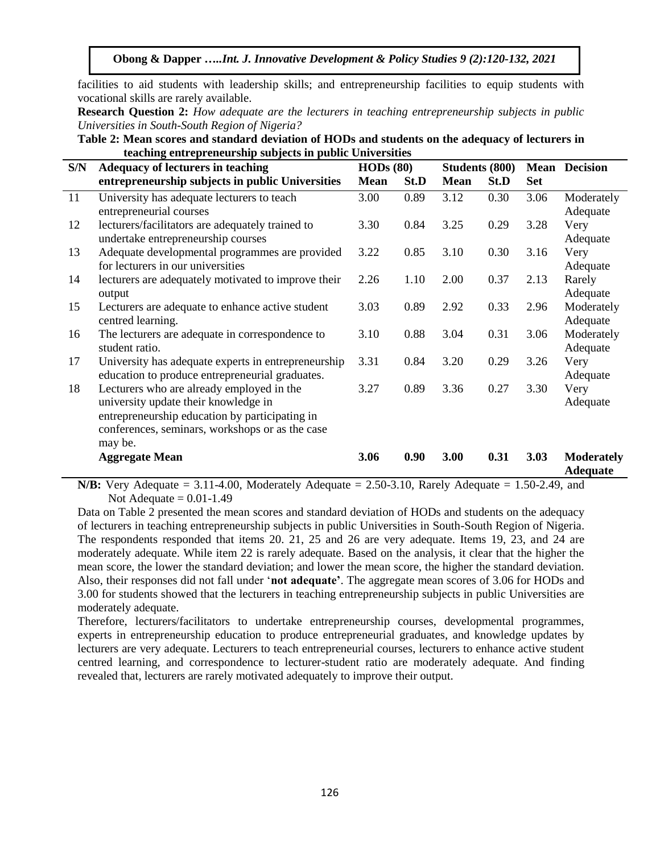facilities to aid students with leadership skills; and entrepreneurship facilities to equip students with vocational skills are rarely available.

**Research Question 2:** *How adequate are the lecturers in teaching entrepreneurship subjects in public Universities in South-South Region of Nigeria?*

| Table 2: Mean scores and standard deviation of HODs and students on the adequacy of lecturers in |
|--------------------------------------------------------------------------------------------------|
| teaching entrepreneurship subjects in public Universities                                        |

| S/N | <b>Adequacy of lecturers in teaching</b>            | HODs(80)    |      | <b>Students (800)</b> |      |            | <b>Mean Decision</b>                 |
|-----|-----------------------------------------------------|-------------|------|-----------------------|------|------------|--------------------------------------|
|     | entrepreneurship subjects in public Universities    | <b>Mean</b> | St.D | <b>Mean</b>           | St.D | <b>Set</b> |                                      |
| 11  | University has adequate lecturers to teach          | 3.00        | 0.89 | 3.12                  | 0.30 | 3.06       | Moderately                           |
|     | entrepreneurial courses                             |             |      |                       |      |            | Adequate                             |
| 12  | lecturers/facilitators are adequately trained to    | 3.30        | 0.84 | 3.25                  | 0.29 | 3.28       | Very                                 |
|     | undertake entrepreneurship courses                  |             |      |                       |      |            | Adequate                             |
| 13  | Adequate developmental programmes are provided      | 3.22        | 0.85 | 3.10                  | 0.30 | 3.16       | Very                                 |
|     | for lecturers in our universities                   |             |      |                       |      |            | Adequate                             |
| 14  | lecturers are adequately motivated to improve their | 2.26        | 1.10 | 2.00                  | 0.37 | 2.13       | Rarely                               |
|     | output                                              |             |      |                       |      |            | Adequate                             |
| 15  | Lecturers are adequate to enhance active student    | 3.03        | 0.89 | 2.92                  | 0.33 | 2.96       | Moderately                           |
|     | centred learning.                                   |             |      |                       |      |            | Adequate                             |
| 16  | The lecturers are adequate in correspondence to     | 3.10        | 0.88 | 3.04                  | 0.31 | 3.06       | Moderately                           |
|     | student ratio.                                      |             |      |                       |      |            | Adequate                             |
| 17  | University has adequate experts in entrepreneurship | 3.31        | 0.84 | 3.20                  | 0.29 | 3.26       | Very                                 |
|     | education to produce entrepreneurial graduates.     |             |      |                       |      |            | Adequate                             |
| 18  | Lecturers who are already employed in the           | 3.27        | 0.89 | 3.36                  | 0.27 | 3.30       | Very                                 |
|     | university update their knowledge in                |             |      |                       |      |            | Adequate                             |
|     | entrepreneurship education by participating in      |             |      |                       |      |            |                                      |
|     | conferences, seminars, workshops or as the case     |             |      |                       |      |            |                                      |
|     | may be.                                             |             |      |                       |      |            |                                      |
|     | <b>Aggregate Mean</b>                               | 3.06        | 0.90 | 3.00                  | 0.31 | 3.03       | <b>Moderately</b><br><b>Adequate</b> |

**N/B:** Very Adequate = 3.11-4.00, Moderately Adequate = 2.50-3.10, Rarely Adequate = 1.50-2.49, and Not Adequate  $= 0.01 - 1.49$ 

Data on Table 2 presented the mean scores and standard deviation of HODs and students on the adequacy of lecturers in teaching entrepreneurship subjects in public Universities in South-South Region of Nigeria. The respondents responded that items 20. 21, 25 and 26 are very adequate. Items 19, 23, and 24 are moderately adequate. While item 22 is rarely adequate. Based on the analysis, it clear that the higher the mean score, the lower the standard deviation; and lower the mean score, the higher the standard deviation. Also, their responses did not fall under '**not adequate'**. The aggregate mean scores of 3.06 for HODs and 3.00 for students showed that the lecturers in teaching entrepreneurship subjects in public Universities are moderately adequate.

Therefore, lecturers/facilitators to undertake entrepreneurship courses, developmental programmes, experts in entrepreneurship education to produce entrepreneurial graduates, and knowledge updates by lecturers are very adequate. Lecturers to teach entrepreneurial courses, lecturers to enhance active student centred learning, and correspondence to lecturer-student ratio are moderately adequate. And finding revealed that, lecturers are rarely motivated adequately to improve their output.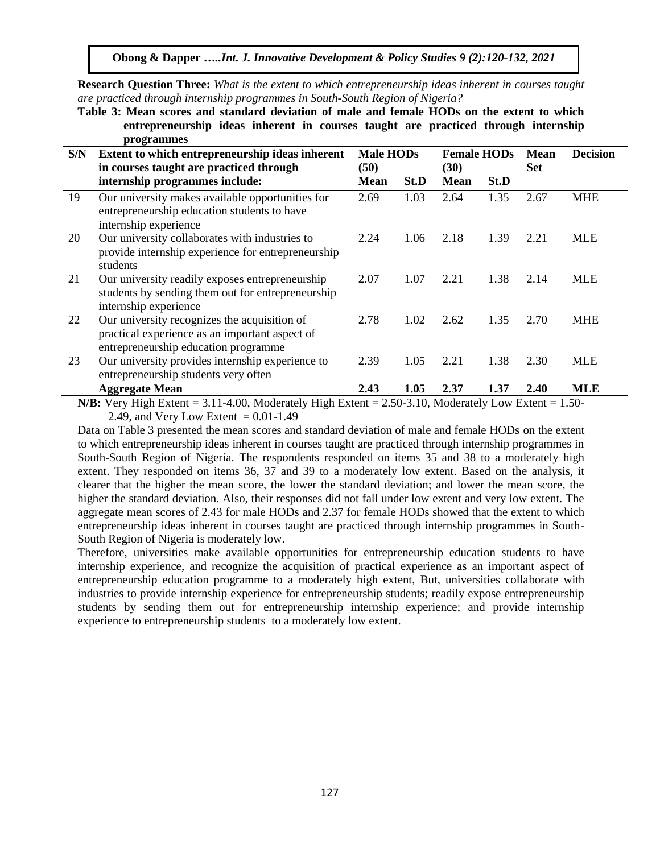**Obong & Dapper …***..Int. J. Innovative Development & Policy Studies 9 (2):120-132, 2021*

**Research Question Three:** *What is the extent to which entrepreneurship ideas inherent in courses taught are practiced through internship programmes in South-South Region of Nigeria?*

**Table 3: Mean scores and standard deviation of male and female HODs on the extent to which entrepreneurship ideas inherent in courses taught are practiced through internship programmes**

| S/N | Extent to which entrepreneurship ideas inherent                                                                                                                                                                                                                                                                                                                                                                                         | <b>Male HODs</b>    |      | <b>Female HODs</b>                     |      | <b>Mean</b> | <b>Decision</b>          |
|-----|-----------------------------------------------------------------------------------------------------------------------------------------------------------------------------------------------------------------------------------------------------------------------------------------------------------------------------------------------------------------------------------------------------------------------------------------|---------------------|------|----------------------------------------|------|-------------|--------------------------|
|     | in courses taught are practiced through<br>internship programmes include:                                                                                                                                                                                                                                                                                                                                                               | (50)<br><b>Mean</b> | St.D | (30)<br><b>Mean</b>                    | St.D | <b>Set</b>  |                          |
| 19  | Our university makes available opportunities for<br>entrepreneurship education students to have<br>internship experience                                                                                                                                                                                                                                                                                                                | 2.69                | 1.03 | 2.64                                   | 1.35 | 2.67        | <b>MHE</b>               |
| 20  | Our university collaborates with industries to<br>provide internship experience for entrepreneurship<br>students                                                                                                                                                                                                                                                                                                                        | 2.24                | 1.06 | 2.18                                   | 1.39 | 2.21        | <b>MLE</b>               |
| 21  | Our university readily exposes entrepreneurship<br>students by sending them out for entrepreneurship<br>internship experience                                                                                                                                                                                                                                                                                                           | 2.07                | 1.07 | 2.21                                   | 1.38 | 2.14        | MLE                      |
| 22  | Our university recognizes the acquisition of<br>practical experience as an important aspect of<br>entrepreneurship education programme                                                                                                                                                                                                                                                                                                  | 2.78                | 1.02 | 2.62                                   | 1.35 | 2.70        | MHE                      |
| 23  | Our university provides internship experience to<br>entrepreneurship students very often                                                                                                                                                                                                                                                                                                                                                | 2.39                | 1.05 | 2.21                                   | 1.38 | 2.30        | MLE                      |
|     | <b>Aggregate Mean</b><br>$M/D$ , $M_{\text{max}}$ , $H_{\text{max}}$ , $L_{\text{max}}$ , $\theta$ , $\theta$ , $\theta$ , $\theta$ , $\theta$ , $\theta$ , $\theta$ , $\theta$ , $\theta$ , $\theta$ , $\theta$ , $\theta$ , $\theta$ , $\theta$ , $\theta$ , $\theta$ , $\theta$ , $\theta$ , $\theta$ , $\theta$ , $\theta$ , $\theta$ , $\theta$ , $\theta$ , $\theta$ , $\theta$ , $\theta$ , $\theta$ , $\theta$ , $\theta$ , $\$ | 2.43                | 1.05 | 2.37<br>$2.50.2.10.11 \cdot 1.1 + 1.1$ | 1.37 | 2.40        | <b>MLE</b><br>$1 F \cap$ |

**N/B:** Very High Extent = 3.11-4.00, Moderately High Extent = 2.50-3.10, Moderately Low Extent = 1.50- 2.49, and Very Low Extent =  $0.01-1.49$ 

Data on Table 3 presented the mean scores and standard deviation of male and female HODs on the extent to which entrepreneurship ideas inherent in courses taught are practiced through internship programmes in South-South Region of Nigeria. The respondents responded on items 35 and 38 to a moderately high extent. They responded on items 36, 37 and 39 to a moderately low extent. Based on the analysis, it clearer that the higher the mean score, the lower the standard deviation; and lower the mean score, the higher the standard deviation. Also, their responses did not fall under low extent and very low extent. The aggregate mean scores of 2.43 for male HODs and 2.37 for female HODs showed that the extent to which entrepreneurship ideas inherent in courses taught are practiced through internship programmes in South-South Region of Nigeria is moderately low.

Therefore, universities make available opportunities for entrepreneurship education students to have internship experience, and recognize the acquisition of practical experience as an important aspect of entrepreneurship education programme to a moderately high extent, But, universities collaborate with industries to provide internship experience for entrepreneurship students; readily expose entrepreneurship students by sending them out for entrepreneurship internship experience; and provide internship experience to entrepreneurship students to a moderately low extent.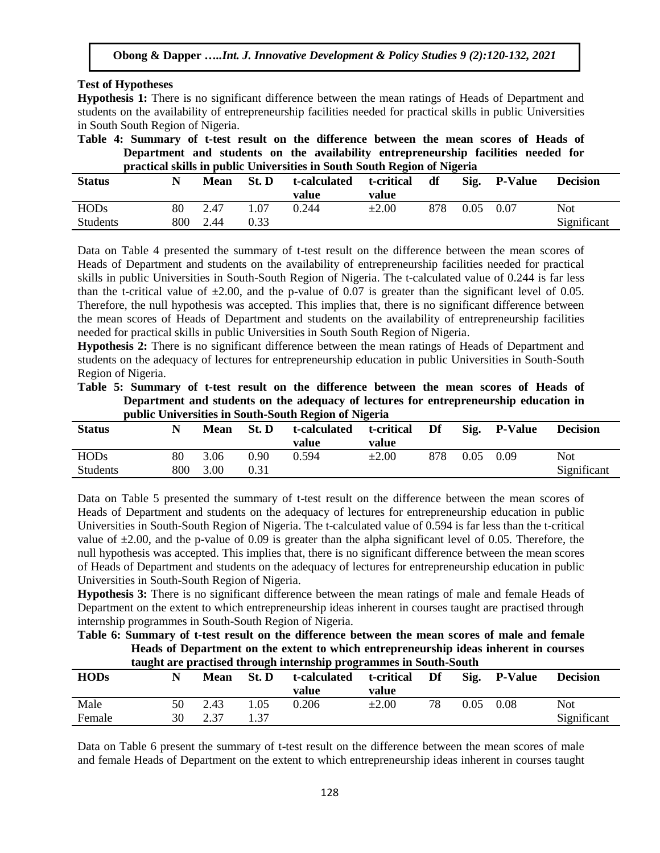### **Test of Hypotheses**

**Hypothesis 1:** There is no significant difference between the mean ratings of Heads of Department and students on the availability of entrepreneurship facilities needed for practical skills in public Universities in South South Region of Nigeria.

|                                                                          |  |  |  |  |  |  | Table 4: Summary of t-test result on the difference between the mean scores of Heads of |  |  |  |  |  |  |
|--------------------------------------------------------------------------|--|--|--|--|--|--|-----------------------------------------------------------------------------------------|--|--|--|--|--|--|
|                                                                          |  |  |  |  |  |  | Department and students on the availability entrepreneurship facilities needed for      |  |  |  |  |  |  |
| practical skills in public Universities in South South Region of Nigeria |  |  |  |  |  |  |                                                                                         |  |  |  |  |  |  |

| <b>Status</b>   |     | <b>Mean</b> | St. D | t-calculated<br>value | t-critical<br>value | df  | Sig. | <b>P-Value</b> | <b>Decision</b> |
|-----------------|-----|-------------|-------|-----------------------|---------------------|-----|------|----------------|-----------------|
| <b>HODs</b>     | 80  | 2.47        | 1.07  | 0.244                 | $\pm 2.00$          | 878 | 0.05 | 0.07           | Not             |
| <b>Students</b> | 800 | 2.44        | 0.33  |                       |                     |     |      |                | Significant     |

Data on Table 4 presented the summary of t-test result on the difference between the mean scores of Heads of Department and students on the availability of entrepreneurship facilities needed for practical skills in public Universities in South-South Region of Nigeria. The t-calculated value of 0.244 is far less than the t-critical value of  $\pm 2.00$ , and the p-value of 0.07 is greater than the significant level of 0.05. Therefore, the null hypothesis was accepted. This implies that, there is no significant difference between the mean scores of Heads of Department and students on the availability of entrepreneurship facilities needed for practical skills in public Universities in South South Region of Nigeria.

**Hypothesis 2:** There is no significant difference between the mean ratings of Heads of Department and students on the adequacy of lectures for entrepreneurship education in public Universities in South-South Region of Nigeria.

|  | Table 5: Summary of t-test result on the difference between the mean scores of Heads of |  |  |  |  |  |  |  |
|--|-----------------------------------------------------------------------------------------|--|--|--|--|--|--|--|
|  | Department and students on the adequacy of lectures for entrepreneurship education in   |  |  |  |  |  |  |  |
|  | public Universities in South-South Region of Nigeria                                    |  |  |  |  |  |  |  |

|                 |     |      |       | public chrytronics in bouth bouth region of Highlia |                     |     |      |                |                 |
|-----------------|-----|------|-------|-----------------------------------------------------|---------------------|-----|------|----------------|-----------------|
| <b>Status</b>   | N   | Mean | St. D | t-calculated<br>value                               | t-critical<br>value | Df  | Sig. | <b>P-Value</b> | <b>Decision</b> |
| <b>HODs</b>     | 80  | 3.06 | 0.90  | 0.594                                               | $\pm 2.00$          | 878 | 0.05 | 0.09           | Not             |
| <b>Students</b> | 800 | 3.00 | 0.31  |                                                     |                     |     |      |                | Significant     |

Data on Table 5 presented the summary of t-test result on the difference between the mean scores of Heads of Department and students on the adequacy of lectures for entrepreneurship education in public Universities in South-South Region of Nigeria. The t-calculated value of 0.594 is far less than the t-critical value of  $\pm 2.00$ , and the p-value of 0.09 is greater than the alpha significant level of 0.05. Therefore, the null hypothesis was accepted. This implies that, there is no significant difference between the mean scores of Heads of Department and students on the adequacy of lectures for entrepreneurship education in public Universities in South-South Region of Nigeria.

**Hypothesis 3:** There is no significant difference between the mean ratings of male and female Heads of Department on the extent to which entrepreneurship ideas inherent in courses taught are practised through internship programmes in South-South Region of Nigeria.

**Table 6: Summary of t-test result on the difference between the mean scores of male and female Heads of Department on the extent to which entrepreneurship ideas inherent in courses taught are practised through internship programmes in South-South** 

|             | taught are practised through micrhismp programmes in South-South |      |      |       |       |                            |    |      |              |                 |  |  |  |  |  |
|-------------|------------------------------------------------------------------|------|------|-------|-------|----------------------------|----|------|--------------|-----------------|--|--|--|--|--|
| <b>HODs</b> |                                                                  | Mean |      | St. D |       | t-calculated t-critical Df |    |      | Sig. P-Value | <b>Decision</b> |  |  |  |  |  |
|             |                                                                  |      |      |       | value | value                      |    |      |              |                 |  |  |  |  |  |
| Male        |                                                                  | 50   | 2.43 | 1.05  | 0.206 | $\pm 2.00$                 | 78 | 0.05 | 0.08         | Not.            |  |  |  |  |  |
| Female      |                                                                  | 30   | 2.37 | 1 37  |       |                            |    |      |              | Significant     |  |  |  |  |  |

Data on Table 6 present the summary of t-test result on the difference between the mean scores of male and female Heads of Department on the extent to which entrepreneurship ideas inherent in courses taught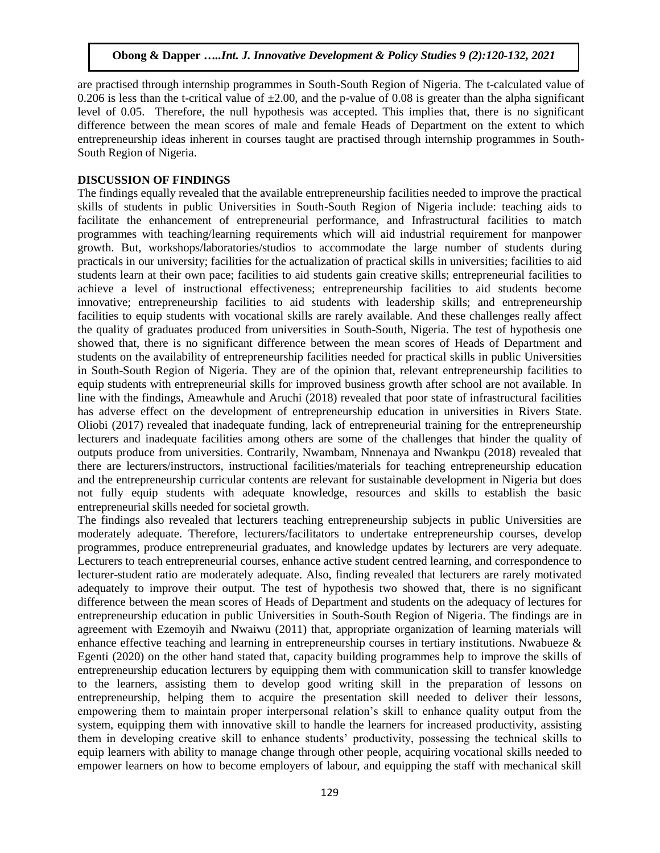are practised through internship programmes in South-South Region of Nigeria. The t-calculated value of 0.206 is less than the t-critical value of  $\pm 2.00$ , and the p-value of 0.08 is greater than the alpha significant level of 0.05. Therefore, the null hypothesis was accepted. This implies that, there is no significant difference between the mean scores of male and female Heads of Department on the extent to which entrepreneurship ideas inherent in courses taught are practised through internship programmes in South-South Region of Nigeria.

## **DISCUSSION OF FINDINGS**

The findings equally revealed that the available entrepreneurship facilities needed to improve the practical skills of students in public Universities in South-South Region of Nigeria include: teaching aids to facilitate the enhancement of entrepreneurial performance, and Infrastructural facilities to match programmes with teaching/learning requirements which will aid industrial requirement for manpower growth. But, workshops/laboratories/studios to accommodate the large number of students during practicals in our university; facilities for the actualization of practical skills in universities; facilities to aid students learn at their own pace; facilities to aid students gain creative skills; entrepreneurial facilities to achieve a level of instructional effectiveness; entrepreneurship facilities to aid students become innovative; entrepreneurship facilities to aid students with leadership skills; and entrepreneurship facilities to equip students with vocational skills are rarely available. And these challenges really affect the quality of graduates produced from universities in South-South, Nigeria. The test of hypothesis one showed that, there is no significant difference between the mean scores of Heads of Department and students on the availability of entrepreneurship facilities needed for practical skills in public Universities in South-South Region of Nigeria. They are of the opinion that, relevant entrepreneurship facilities to equip students with entrepreneurial skills for improved business growth after school are not available. In line with the findings, Ameawhule and Aruchi (2018) revealed that poor state of infrastructural facilities has adverse effect on the development of entrepreneurship education in universities in Rivers State. Oliobi (2017) revealed that inadequate funding, lack of entrepreneurial training for the entrepreneurship lecturers and inadequate facilities among others are some of the challenges that hinder the quality of outputs produce from universities. Contrarily, Nwambam, Nnnenaya and Nwankpu (2018) revealed that there are lecturers/instructors, instructional facilities/materials for teaching entrepreneurship education and the entrepreneurship curricular contents are relevant for sustainable development in Nigeria but does not fully equip students with adequate knowledge, resources and skills to establish the basic entrepreneurial skills needed for societal growth.

The findings also revealed that lecturers teaching entrepreneurship subjects in public Universities are moderately adequate. Therefore, lecturers/facilitators to undertake entrepreneurship courses, develop programmes, produce entrepreneurial graduates, and knowledge updates by lecturers are very adequate. Lecturers to teach entrepreneurial courses, enhance active student centred learning, and correspondence to lecturer-student ratio are moderately adequate. Also, finding revealed that lecturers are rarely motivated adequately to improve their output. The test of hypothesis two showed that, there is no significant difference between the mean scores of Heads of Department and students on the adequacy of lectures for entrepreneurship education in public Universities in South-South Region of Nigeria. The findings are in agreement with Ezemoyih and Nwaiwu (2011) that, appropriate organization of learning materials will enhance effective teaching and learning in entrepreneurship courses in tertiary institutions. Nwabueze & Egenti (2020) on the other hand stated that, capacity building programmes help to improve the skills of entrepreneurship education lecturers by equipping them with communication skill to transfer knowledge to the learners, assisting them to develop good writing skill in the preparation of lessons on entrepreneurship, helping them to acquire the presentation skill needed to deliver their lessons, empowering them to maintain proper interpersonal relation's skill to enhance quality output from the system, equipping them with innovative skill to handle the learners for increased productivity, assisting them in developing creative skill to enhance students' productivity, possessing the technical skills to equip learners with ability to manage change through other people, acquiring vocational skills needed to empower learners on how to become employers of labour, and equipping the staff with mechanical skill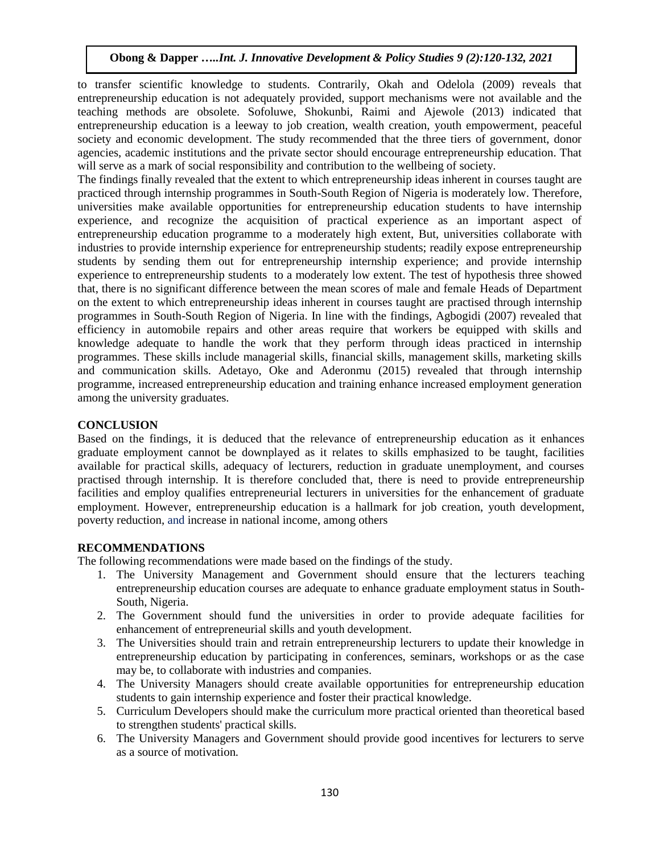to transfer scientific knowledge to students. Contrarily, Okah and Odelola (2009) reveals that entrepreneurship education is not adequately provided, support mechanisms were not available and the teaching methods are obsolete. Sofoluwe, Shokunbi, Raimi and Ajewole (2013) indicated that entrepreneurship education is a leeway to job creation, wealth creation, youth empowerment, peaceful society and economic development. The study recommended that the three tiers of government, donor agencies, academic institutions and the private sector should encourage entrepreneurship education. That will serve as a mark of social responsibility and contribution to the wellbeing of society.

The findings finally revealed that the extent to which entrepreneurship ideas inherent in courses taught are practiced through internship programmes in South-South Region of Nigeria is moderately low. Therefore, universities make available opportunities for entrepreneurship education students to have internship experience, and recognize the acquisition of practical experience as an important aspect of entrepreneurship education programme to a moderately high extent, But, universities collaborate with industries to provide internship experience for entrepreneurship students; readily expose entrepreneurship students by sending them out for entrepreneurship internship experience; and provide internship experience to entrepreneurship students to a moderately low extent. The test of hypothesis three showed that, there is no significant difference between the mean scores of male and female Heads of Department on the extent to which entrepreneurship ideas inherent in courses taught are practised through internship programmes in South-South Region of Nigeria. In line with the findings, Agbogidi (2007) revealed that efficiency in automobile repairs and other areas require that workers be equipped with skills and knowledge adequate to handle the work that they perform through ideas practiced in internship programmes. These skills include managerial skills, financial skills, management skills, marketing skills and communication skills. Adetayo, Oke and Aderonmu (2015) revealed that through internship programme, increased entrepreneurship education and training enhance increased employment generation among the university graduates.

## **CONCLUSION**

Based on the findings, it is deduced that the relevance of entrepreneurship education as it enhances graduate employment cannot be downplayed as it relates to skills emphasized to be taught, facilities available for practical skills, adequacy of lecturers, reduction in graduate unemployment, and courses practised through internship. It is therefore concluded that, there is need to provide entrepreneurship facilities and employ qualifies entrepreneurial lecturers in universities for the enhancement of graduate employment. However, entrepreneurship education is a hallmark for job creation, youth development, poverty reduction, and increase in national income, among others

## **RECOMMENDATIONS**

The following recommendations were made based on the findings of the study.

- 1. The University Management and Government should ensure that the lecturers teaching entrepreneurship education courses are adequate to enhance graduate employment status in South-South, Nigeria.
- 2. The Government should fund the universities in order to provide adequate facilities for enhancement of entrepreneurial skills and youth development.
- 3. The Universities should train and retrain entrepreneurship lecturers to update their knowledge in entrepreneurship education by participating in conferences, seminars, workshops or as the case may be, to collaborate with industries and companies.
- 4. The University Managers should create available opportunities for entrepreneurship education students to gain internship experience and foster their practical knowledge.
- 5. Curriculum Developers should make the curriculum more practical oriented than theoretical based to strengthen students' practical skills.
- 6. The University Managers and Government should provide good incentives for lecturers to serve as a source of motivation.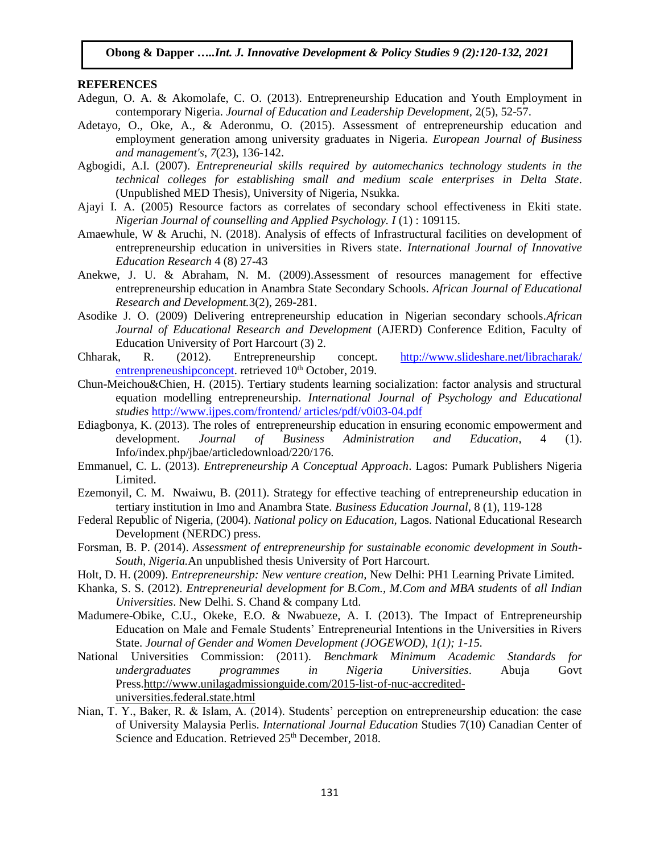#### **REFERENCES**

- Adegun, O. A. & Akomolafe, C. O. (2013). Entrepreneurship Education and Youth Employment in contemporary Nigeria. *Journal of Education and Leadership Development,* 2(5), 52-57.
- Adetayo, O., Oke, A., & Aderonmu, O. (2015). Assessment of entrepreneurship education and employment generation among university graduates in Nigeria. *European Journal of Business and management's*, *7*(23), 136-142.
- Agbogidi, A.I. (2007). *Entrepreneurial skills required by automechanics technology students in the technical colleges for establishing small and medium scale enterprises in Delta State*. (Unpublished MED Thesis), University of Nigeria, Nsukka.
- Ajayi I. A. (2005) Resource factors as correlates of secondary school effectiveness in Ekiti state. *Nigerian Journal of counselling and Applied Psychology. I* (1) : 109115.
- Amaewhule, W & Aruchi, N. (2018). Analysis of effects of Infrastructural facilities on development of entrepreneurship education in universities in Rivers state. *International Journal of Innovative Education Research* 4 (8) 27-43
- Anekwe, J. U. & Abraham, N. M. (2009).Assessment of resources management for effective entrepreneurship education in Anambra State Secondary Schools. *African Journal of Educational Research and Development.*3(2), 269-281.
- Asodike J. O. (2009) Delivering entrepreneurship education in Nigerian secondary schools.*African Journal of Educational Research and Development* (AJERD) Conference Edition, Faculty of Education University of Port Harcourt (3) 2.
- Chharak, R. (2012). Entrepreneurship concept. [http://www.slideshare.net/libracharak/](http://www.slideshare.net/libracharak/%20entrenpreneushipconcept)  [entrenpreneushipconcept.](http://www.slideshare.net/libracharak/%20entrenpreneushipconcept) retrieved 10<sup>th</sup> October, 2019.
- Chun-Meichou&Chien, H. (2015). Tertiary students learning socialization: factor analysis and structural equation modelling entrepreneurship. *International Journal of Psychology and Educational studies* [http://www.ijpes.com/frontend/ articles/pdf/v0i03-04.pdf](http://www.ijpes.com/frontend/%20articles/pdf/v0i03-04.pdf)
- Ediagbonya, K. (2013). The roles of entrepreneurship education in ensuring economic empowerment and development. *Journal of Business Administration and Education*, 4 (1). Info/index.php/jbae/articledownload/220/176.
- Emmanuel, C. L. (2013). *Entrepreneurship A Conceptual Approach*. Lagos: Pumark Publishers Nigeria Limited.
- Ezemonyil, C. M. Nwaiwu, B. (2011). Strategy for effective teaching of entrepreneurship education in tertiary institution in Imo and Anambra State. *Business Education Journal,* 8 (1), 119-128
- Federal Republic of Nigeria, (2004). *National policy on Education,* Lagos. National Educational Research Development (NERDC) press.
- Forsman, B. P. (2014). *Assessment of entrepreneurship for sustainable economic development in South-South, Nigeria.*An unpublished thesis University of Port Harcourt.
- Holt, D. H. (2009). *Entrepreneurship: New venture creation,* New Delhi: PH1 Learning Private Limited.
- Khanka, S. S. (2012). *Entrepreneurial development for B.Com., M.Com and MBA students* of *all Indian Universities*. New Delhi. S. Chand & company Ltd.
- Madumere-Obike, C.U., Okeke, E.O. & Nwabueze, A. I. (2013). The Impact of Entrepreneurship Education on Male and Female Students' Entrepreneurial Intentions in the Universities in Rivers State. *Journal of Gender and Women Development (JOGEWOD), 1(1); 1-15.*
- National Universities Commission: (2011). *Benchmark Minimum Academic Standards for undergraduates programmes in Nigeria Universities*. Abuja Govt Press[.http://www.unilagadmissionguide.com/2015-list-of-nuc-accredited](http://www.unilagadmissionguide.com/2015-list-of-nuc-accredited-universities.federal.state.html)[universities.federal.state.html](http://www.unilagadmissionguide.com/2015-list-of-nuc-accredited-universities.federal.state.html)
- Nian, T. Y., Baker, R. & Islam, A. (2014). Students' perception on entrepreneurship education: the case of University Malaysia Perlis. *International Journal Education* Studies 7(10) Canadian Center of Science and Education. Retrieved  $25<sup>th</sup>$  December, 2018.